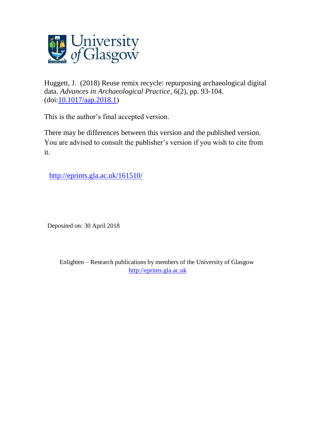

Huggett, J. (2018) Reuse remix recycle: repurposing archaeological digital data. *Advances in Archaeological Practice*, 6(2), pp. 93-104. (doi[:10.1017/aap.2018.1\)](http://dx.doi.org/10.1017/aap.2018.1)

This is the author's final accepted version.

There may be differences between this version and the published version. You are advised to consult the publisher's version if you wish to cite from it.

<http://eprints.gla.ac.uk/161510/>

Deposited on: 30 April 2018

Enlighten – Research publications by members of the University of Glasgow [http://eprints.gla.ac.uk](http://eprints.gla.ac.uk/)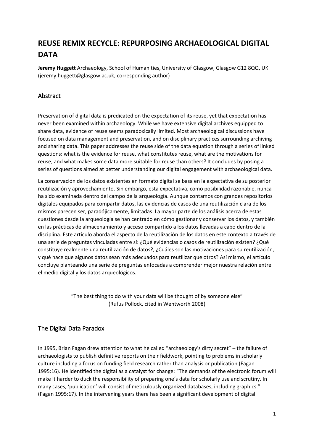# **REUSE REMIX RECYCLE: REPURPOSING ARCHAEOLOGICAL DIGITAL DATA**

**Jeremy Huggett** Archaeology, School of Humanities, University of Glasgow, Glasgow G12 8QQ, UK (jeremy.huggett@glasgow.ac.uk, corresponding author)

# **Abstract**

Preservation of digital data is predicated on the expectation of its reuse, yet that expectation has never been examined within archaeology. While we have extensive digital archives equipped to share data, evidence of reuse seems paradoxically limited. Most archaeological discussions have focused on data management and preservation, and on disciplinary practices surrounding archiving and sharing data. This paper addresses the reuse side of the data equation through a series of linked questions: what is the evidence for reuse, what constitutes reuse, what are the motivations for reuse, and what makes some data more suitable for reuse than others? It concludes by posing a series of questions aimed at better understanding our digital engagement with archaeological data.

La conservación de los datos existentes en formato digital se basa en la expectativa de su posterior reutilización y aprovechamiento. Sin embargo, esta expectativa, como posibilidad razonable, nunca ha sido examinada dentro del campo de la arqueología. Aunque contamos con grandes repositorios digitales equipados para compartir datos, las evidencias de casos de una reutilización clara de los mismos parecen ser, paradójicamente, limitadas. La mayor parte de los análisis acerca de estas cuestiones desde la arqueología se han centrado en cómo gestionar y conservar los datos, y también en las prácticas de almacenamiento y acceso compartido a los datos llevadas a cabo dentro de la disciplina. Este artículo aborda el aspecto de la reutilización de los datos en este contexto a través de una serie de preguntas vinculadas entre sí: ¿Qué evidencias o casos de reutilización existen? ¿Qué constituye realmente una reutilización de datos?, ¿Cuáles son las motivaciones para su reutilización, y qué hace que algunos datos sean más adecuados para reutilizar que otros? Así mismo, el artículo concluye planteando una serie de preguntas enfocadas a comprender mejor nuestra relación entre el medio digital y los datos arqueológicos.

> "The best thing to do with your data will be thought of by someone else" (Rufus Pollock, cited in Wentworth 2008)

# The Digital Data Paradox

In 1995, Brian Fagan drew attention to what he called "archaeology's dirty secret" – the failure of archaeologists to publish definitive reports on their fieldwork, pointing to problems in scholarly culture including a focus on funding field research rather than analysis or publication (Fagan 1995:16). He identified the digital as a catalyst for change: "The demands of the electronic forum will make it harder to duck the responsibility of preparing one's data for scholarly use and scrutiny. In many cases, 'publication' will consist of meticulously organized databases, including graphics." (Fagan 1995:17). In the intervening years there has been a significant development of digital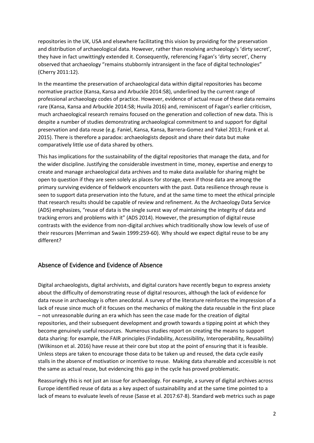repositories in the UK, USA and elsewhere facilitating this vision by providing for the preservation and distribution of archaeological data. However, rather than resolving archaeology's 'dirty secret', they have in fact unwittingly extended it. Consequently, referencing Fagan's 'dirty secret', Cherry observed that archaeology "remains stubbornly intransigent in the face of digital technologies" (Cherry 2011:12).

In the meantime the preservation of archaeological data within digital repositories has become normative practice (Kansa, Kansa and Arbuckle 2014:58), underlined by the current range of professional archaeology codes of practice. However, evidence of actual reuse of these data remains rare (Kansa, Kansa and Arbuckle 2014:58; Huvila 2016) and, reminiscent of Fagan's earlier criticism, much archaeological research remains focused on the generation and collection of new data. This is despite a number of studies demonstrating archaeological commitment to and support for digital preservation and data reuse (e.g. Faniel, Kansa, Kansa, Barrera-Gomez and Yakel 2013; Frank et al. 2015). There is therefore a paradox: archaeologists deposit and share their data but make comparatively little use of data shared by others.

This has implications for the sustainability of the digital repositories that manage the data, and for the wider discipline. Justifying the considerable investment in time, money, expertise and energy to create and manage archaeological data archives and to make data available for sharing might be open to question if they are seen solely as places for storage, even if those data are among the primary surviving evidence of fieldwork encounters with the past. Data resilience through reuse is seen to support data preservation into the future, and at the same time to meet the ethical principle that research results should be capable of review and refinement. As the Archaeology Data Service (ADS) emphasizes, "reuse of data is the single surest way of maintaining the integrity of data and tracking errors and problems with it" (ADS 2014). However, the presumption of digital reuse contrasts with the evidence from non-digital archives which traditionally show low levels of use of their resources (Merriman and Swain 1999:259-60). Why should we expect digital reuse to be any different?

# Absence of Evidence and Evidence of Absence

Digital archaeologists, digital archivists, and digital curators have recently begun to express anxiety about the difficulty of demonstrating reuse of digital resources, although the lack of evidence for data reuse in archaeology is often anecdotal. A survey of the literature reinforces the impression of a lack of reuse since much of it focuses on the mechanics of making the data reusable in the first place – not unreasonable during an era which has seen the case made for the creation of digital repositories, and their subsequent development and growth towards a tipping point at which they become genuinely useful resources. Numerous studies report on creating the means to support data sharing: for example, the FAIR principles (Findability, Accessibility, Interoperability, Reusability) (Wilkinson et al. 2016) have reuse at their core but stop at the point of ensuring that it is feasible. Unless steps are taken to encourage those data to be taken up and reused, the data cycle easily stalls in the absence of motivation or incentive to reuse. Making data shareable and accessible is not the same as actual reuse, but evidencing this gap in the cycle has proved problematic.

Reassuringly this is not just an issue for archaeology. For example, a survey of digital archives across Europe identified reuse of data as a key aspect of sustainability and at the same time pointed to a lack of means to evaluate levels of reuse (Sasse et al. 2017:67-8). Standard web metrics such as page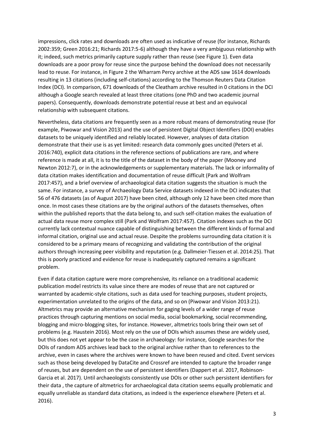impressions, click rates and downloads are often used as indicative of reuse (for instance, Richards 2002:359; Green 2016:21; Richards 2017:5-6) although they have a very ambiguous relationship with it; indeed, such metrics primarily capture supply rather than reuse (see Figure 1). Even data downloads are a poor proxy for reuse since the purpose behind the download does not necessarily lead to reuse. For instance, in Figure 2 the Wharram Percy archive at the ADS saw 1614 downloads resulting in 13 citations (including self-citations) according to the Thomson Reuters Data Citation Index (DCI). In comparison, 671 downloads of the Cleatham archive resulted in 0 citations in the DCI although a Google search revealed at least three citations (one PhD and two academic journal papers). Consequently, downloads demonstrate potential reuse at best and an equivocal relationship with subsequent citations.

Nevertheless, data citations are frequently seen as a more robust means of demonstrating reuse (for example, Piwowar and Vision 2013) and the use of persistent Digital Object Identifiers (DOI) enables datasets to be uniquely identified and reliably located. However, analyses of data citation demonstrate that their use is as yet limited: research data commonly goes uncited (Peters et al. 2016:740), explicit data citations in the reference sections of publications are rare, and where reference is made at all, it is to the title of the dataset in the body of the paper (Mooney and Newton 2012:7), or in the acknowledgements or supplementary materials. The lack or informality of data citation makes identification and documentation of reuse difficult (Park and Wolfram 2017:457), and a brief overview of archaeological data citation suggests the situation is much the same. For instance, a survey of Archaeology Data Service datasets indexed in the DCI indicates that 56 of 476 datasets (as of August 2017) have been cited, although only 12 have been cited more than once. In most cases these citations are by the original authors of the datasets themselves, often within the published reports that the data belong to, and such self-citation makes the evaluation of actual data reuse more complex still (Park and Wolfram 2017:457). Citation indexes such as the DCI currently lack contextual nuance capable of distinguishing between the different kinds of formal and informal citation, original use and actual reuse. Despite the problems surrounding data citation it is considered to be a primary means of recognizing and validating the contribution of the original authors through increasing peer visibility and reputation (e.g. Dallmeier-Tiessen et al. 2014:25). That this is poorly practiced and evidence for reuse is inadequately captured remains a significant problem.

Even if data citation capture were more comprehensive, its reliance on a traditional academic publication model restricts its value since there are modes of reuse that are not captured or warranted by academic-style citations, such as data used for teaching purposes, student projects, experimentation unrelated to the origins of the data, and so on (Piwowar and Vision 2013:21). Altmetrics may provide an alternative mechanism for gaging levels of a wider range of reuse practices through capturing mentions on social media, social bookmarking, social recommending, blogging and micro-blogging sites, for instance. However, altmetrics tools bring their own set of problems (e.g. Haustein 2016). Most rely on the use of DOIs which assumes these are widely used, but this does not yet appear to be the case in archaeology: for instance, Google searches for the DOIs of random ADS archives lead back to the original archive rather than to references to the archive, even in cases where the archives were known to have been reused and cited. Event services such as those being developed by DataCite and Crossref are intended to capture the broader range of reuses, but are dependent on the use of persistent identifiers (Dappert et al. 2017, Robinson-Garcia et al. 2017). Until archaeologists consistently use DOIs or other such persistent identifiers for their data , the capture of altmetrics for archaeological data citation seems equally problematic and equally unreliable as standard data citations, as indeed is the experience elsewhere (Peters et al. 2016).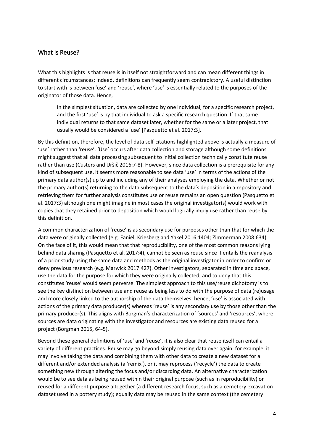## What is Reuse?

What this highlights is that reuse is in itself not straightforward and can mean different things in different circumstances; indeed, definitions can frequently seem contradictory. A useful distinction to start with is between 'use' and 'reuse', where 'use' is essentially related to the purposes of the originator of those data. Hence,

In the simplest situation, data are collected by one individual, for a specific research project, and the first 'use' is by that individual to ask a specific research question. If that same individual returns to that same dataset later, whether for the same or a later project, that usually would be considered a 'use' [Pasquetto et al. 2017:3].

By this definition, therefore, the level of data self-citations highlighted above is actually a measure of 'use' rather than 'reuse'. 'Use' occurs after data collection and storage although some definitions might suggest that all data processing subsequent to initial collection technically constitute reuse rather than use (Custers and Uršič 2016:7-8). However, since data collection is a prerequisite for any kind of subsequent use, it seems more reasonable to see data 'use' in terms of the actions of the primary data author(s) up to and including any of their analyses employing the data. Whether or not the primary author(s) returning to the data subsequent to the data's deposition in a repository and retrieving them for further analysis constitutes use or reuse remains an open question (Pasquetto et al. 2017:3) although one might imagine in most cases the original investigator(s) would work with copies that they retained prior to deposition which would logically imply use rather than reuse by this definition.

A common characterization of 'reuse' is as secondary use for purposes other than that for which the data were originally collected (e.g. Faniel, Kriesberg and Yakel 2016:1404; Zimmerman 2008:634). On the face of it, this would mean that that reproducibility, one of the most common reasons lying behind data sharing (Pasquetto et al. 2017:4), cannot be seen as reuse since it entails the reanalysis of a prior study using the same data and methods as the original investigator in order to confirm or deny previous research (e.g. Marwick 2017:427). Other investigators, separated in time and space, use the data for the purpose for which they were originally collected, and to deny that this constitutes 'reuse' would seem perverse. The simplest approach to this use/reuse dichotomy is to see the key distinction between use and reuse as being less to do with the purpose of data (re)usage and more closely linked to the authorship of the data themselves: hence, 'use' is associated with actions of the primary data producer(s) whereas 'reuse' is any secondary use by those other than the primary producer(s). This aligns with Borgman's characterization of 'sources' and 'resources', where sources are data originating with the investigator and resources are existing data reused for a project (Borgman 2015, 64-5).

Beyond these general definitions of 'use' and 'reuse', it is also clear that reuse itself can entail a variety of different practices. Reuse may go beyond simply reusing data over again: for example, it may involve taking the data and combining them with other data to create a new dataset for a different and/or extended analysis (a 'remix'), or it may reprocess ('recycle') the data to create something new through altering the focus and/or discarding data. An alternative characterization would be to see data as being reused within their original purpose (such as in reproducibility) or reused for a different purpose altogether (a different research focus, such as a cemetery excavation dataset used in a pottery study); equally data may be reused in the same context (the cemetery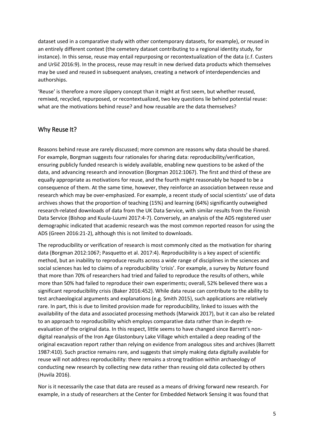dataset used in a comparative study with other contemporary datasets, for example), or reused in an entirely different context (the cemetery dataset contributing to a regional identity study, for instance). In this sense, reuse may entail repurposing or recontextualization of the data (c.f. Custers and Uršič 2016:9). In the process, reuse may result in new derived data products which themselves may be used and reused in subsequent analyses, creating a network of interdependencies and authorships.

'Reuse' is therefore a more slippery concept than it might at first seem, but whether reused, remixed, recycled, repurposed, or recontextualized, two key questions lie behind potential reuse: what are the motivations behind reuse? and how reusable are the data themselves?

# Why Reuse It?

Reasons behind reuse are rarely discussed; more common are reasons why data should be shared. For example, Borgman suggests four rationales for sharing data: reproducibility/verification, ensuring publicly funded research is widely available, enabling new questions to be asked of the data, and advancing research and innovation (Borgman 2012:1067). The first and third of these are equally appropriate as motivations for reuse, and the fourth might reasonably be hoped to be a consequence of them. At the same time, however, they reinforce an association between reuse and research which may be over-emphasized. For example, a recent study of social scientists' use of data archives shows that the proportion of teaching (15%) and learning (64%) significantly outweighed research-related downloads of data from the UK Data Service, with similar results from the Finnish Data Service (Bishop and Kuula-Luumi 2017:4-7). Conversely, an analysis of the ADS registered user demographic indicated that academic research was the most common reported reason for using the ADS (Green 2016:21-2), although this is not limited to downloads.

The reproducibility or verification of research is most commonly cited as the motivation for sharing data (Borgman 2012:1067; Pasquetto et al. 2017:4). Reproducibility is a key aspect of scientific method, but an inability to reproduce results across a wide range of disciplines in the sciences and social sciences has led to claims of a reproducibility 'crisis'. For example, a survey by *Nature* found that more than 70% of researchers had tried and failed to reproduce the results of others, while more than 50% had failed to reproduce their own experiments; overall, 52% believed there was a significant reproducibility crisis (Baker 2016:452). While data reuse can contribute to the ability to test archaeological arguments and explanations (e.g. Smith 2015), such applications are relatively rare. In part, this is due to limited provision made for reproducibility, linked to issues with the availability of the data and associated processing methods (Marwick 2017), but it can also be related to an approach to reproducibility which employs comparative data rather than in-depth reevaluation of the original data. In this respect, little seems to have changed since Barrett's nondigital reanalysis of the Iron Age Glastonbury Lake Village which entailed a deep reading of the original excavation report rather than relying on evidence from analogous sites and archives (Barrett 1987:410). Such practice remains rare, and suggests that simply making data digitally available for reuse will not address reproducibility: there remains a strong tradition within archaeology of conducting new research by collecting new data rather than reusing old data collected by others (Huvila 2016).

Nor is it necessarily the case that data are reused as a means of driving forward new research. For example, in a study of researchers at the Center for Embedded Network Sensing it was found that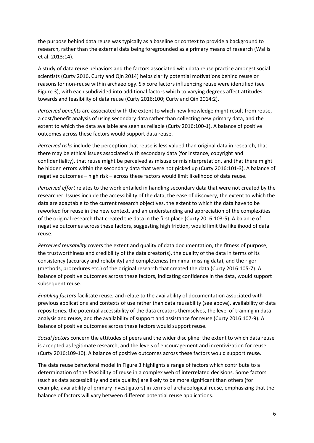the purpose behind data reuse was typically as a baseline or context to provide a background to research, rather than the external data being foregrounded as a primary means of research (Wallis et al. 2013:14).

A study of data reuse behaviors and the factors associated with data reuse practice amongst social scientists (Curty 2016, Curty and Qin 2014) helps clarify potential motivations behind reuse or reasons for non-reuse within archaeology. Six core factors influencing reuse were identified (see Figure 3), with each subdivided into additional factors which to varying degrees affect attitudes towards and feasibility of data reuse (Curty 2016:100; Curty and Qin 2014:2).

*Perceived benefits* are associated with the extent to which new knowledge might result from reuse, a cost/benefit analysis of using secondary data rather than collecting new primary data, and the extent to which the data available are seen as reliable (Curty 2016:100-1). A balance of positive outcomes across these factors would support data reuse.

*Perceived risks* include the perception that reuse is less valued than original data in research, that there may be ethical issues associated with secondary data (for instance, copyright and confidentiality), that reuse might be perceived as misuse or misinterpretation, and that there might be hidden errors within the secondary data that were not picked up (Curty 2016:101-3). A balance of negative outcomes – high risk – across these factors would limit likelihood of data reuse.

*Perceived effort* relates to the work entailed in handling secondary data that were not created by the researcher. Issues include the accessibility of the data, the ease of discovery, the extent to which the data are adaptable to the current research objectives, the extent to which the data have to be reworked for reuse in the new context, and an understanding and appreciation of the complexities of the original research that created the data in the first place (Curty 2016:103-5). A balance of negative outcomes across these factors, suggesting high friction, would limit the likelihood of data reuse.

*Perceived reusability* covers the extent and quality of data documentation, the fitness of purpose, the trustworthiness and credibility of the data creator(s), the quality of the data in terms of its consistency (accuracy and reliability) and completeness (minimal missing data), and the rigor (methods, procedures etc.) of the original research that created the data (Curty 2016:105-7). A balance of positive outcomes across these factors, indicating confidence in the data, would support subsequent reuse.

*Enabling factors* facilitate reuse, and relate to the availability of documentation associated with previous applications and contexts of use rather than data reusability (see above), availability of data repositories, the potential accessibility of the data creators themselves, the level of training in data analysis and reuse, and the availability of support and assistance for reuse (Curty 2016:107-9). A balance of positive outcomes across these factors would support reuse.

*Social factors* concern the attitudes of peers and the wider discipline: the extent to which data reuse is accepted as legitimate research, and the levels of encouragement and incentivization for reuse (Curty 2016:109-10). A balance of positive outcomes across these factors would support reuse.

The data reuse behavioral model in Figure 3 highlights a range of factors which contribute to a determination of the feasibility of reuse in a complex web of interrelated decisions. Some factors (such as data accessibility and data quality) are likely to be more significant than others (for example, availability of primary investigators) in terms of archaeological reuse, emphasizing that the balance of factors will vary between different potential reuse applications.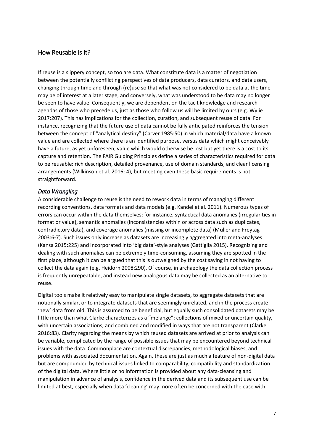# How Reusable is It?

If reuse is a slippery concept, so too are data. What constitute data is a matter of negotiation between the potentially conflicting perspectives of data producers, data curators, and data users, changing through time and through (re)use so that what was not considered to be data at the time may be of interest at a later stage, and conversely, what was understood to be data may no longer be seen to have value. Consequently, we are dependent on the tacit knowledge and research agendas of those who precede us, just as those who follow us will be limited by ours (e.g. Wylie 2017:207). This has implications for the collection, curation, and subsequent reuse of data. For instance, recognizing that the future use of data cannot be fully anticipated reinforces the tension between the concept of "analytical destiny" (Carver 1985:50) in which material/data have a known value and are collected where there is an identified purpose, versus data which might conceivably have a future, as yet unforeseen, value which would otherwise be lost but yet there is a cost to its capture and retention. The FAIR Guiding Principles define a series of characteristics required for data to be reusable: rich description, detailed provenance, use of domain standards, and clear licensing arrangements (Wilkinson et al. 2016: 4), but meeting even these basic requirements is not straightforward.

### *Data Wrangling*

A considerable challenge to reuse is the need to rework data in terms of managing different recording conventions, data formats and data models (e.g. Kandel et al. 2011). Numerous types of errors can occur within the data themselves: for instance, syntactical data anomalies (irregularities in format or value), semantic anomalies (inconsistencies within or across data such as duplicates, contradictory data), and coverage anomalies (missing or incomplete data) (Müller and Freytag 2003:6-7). Such issues only increase as datasets are increasingly aggregated into meta-analyses (Kansa 2015:225) and incorporated into 'big data'-style analyses (Gattiglia 2015). Recognizing and dealing with such anomalies can be extremely time-consuming, assuming they are spotted in the first place, although it can be argued that this is outweighed by the cost saving in not having to collect the data again (e.g. Heidorn 2008:290). Of course, in archaeology the data collection process is frequently unrepeatable, and instead new analogous data may be collected as an alternative to reuse.

Digital tools make it relatively easy to manipulate single datasets, to aggregate datasets that are notionally similar, or to integrate datasets that are seemingly unrelated, and in the process create 'new' data from old. This is assumed to be beneficial, but equally such consolidated datasets may be little more than what Clarke characterizes as a "melange": collections of mixed or uncertain quality, with uncertain associations, and combined and modified in ways that are not transparent (Clarke 2016:83). Clarity regarding the means by which reused datasets are arrived at prior to analysis can be variable, complicated by the range of possible issues that may be encountered beyond technical issues with the data. Commonplace are contextual discrepancies, methodological biases, and problems with associated documentation. Again, these are just as much a feature of non-digital data but are compounded by technical issues linked to comparability, compatibility and standardization of the digital data. Where little or no information is provided about any data-cleansing and manipulation in advance of analysis, confidence in the derived data and its subsequent use can be limited at best, especially when data 'cleaning' may more often be concerned with the ease with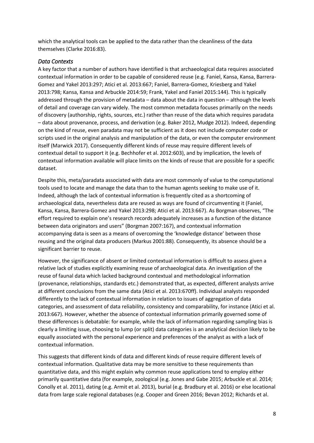which the analytical tools can be applied to the data rather than the cleanliness of the data themselves (Clarke 2016:83).

## *Data Contexts*

A key factor that a number of authors have identified is that archaeological data requires associated contextual information in order to be capable of considered reuse (e.g. Faniel, Kansa, Kansa, Barrera-Gomez and Yakel 2013:297; Atici et al. 2013:667; Faniel, Barrera-Gomez, Kriesberg and Yakel 2013:798; Kansa, Kansa and Arbuckle 2014:59; Frank, Yakel and Faniel 2015:144). This is typically addressed through the provision of metadata – data about the data in question – although the levels of detail and coverage can vary widely. The most common metadata focuses primarily on the needs of discovery (authorship, rights, sources, etc.) rather than reuse of the data which requires paradata – data about provenance, process, and derivation (e.g. Baker 2012, Mudge 2012). Indeed, depending on the kind of reuse, even paradata may not be sufficient as it does not include computer code or scripts used in the original analysis and manipulation of the data, or even the computer environment itself (Marwick 2017). Consequently different kinds of reuse may require different levels of contextual detail to support it (e.g. Bechhofer et al. 2012:603), and by implication, the levels of contextual information available will place limits on the kinds of reuse that are possible for a specific dataset.

Despite this, meta/paradata associated with data are most commonly of value to the computational tools used to locate and manage the data than to the human agents seeking to make use of it. Indeed, although the lack of contextual information is frequently cited as a shortcoming of archaeological data, nevertheless data are reused as ways are found of circumventing it (Faniel, Kansa, Kansa, Barrera-Gomez and Yakel 2013:298; Atici et al. 2013:667). As Borgman observes, "The effort required to explain one's research records adequately increases as a function of the distance between data originators and users" (Borgman 2007:167), and contextual information accompanying data is seen as a means of overcoming the 'knowledge distance' between those reusing and the original data producers (Markus 2001:88). Consequently, its absence should be a significant barrier to reuse.

However, the significance of absent or limited contextual information is difficult to assess given a relative lack of studies explicitly examining reuse of archaeological data. An investigation of the reuse of faunal data which lacked background contextual and methodological information (provenance, relationships, standards etc.) demonstrated that, as expected, different analysts arrive at different conclusions from the same data (Atici et al. 2013:670ff). Individual analysts responded differently to the lack of contextual information in relation to issues of aggregation of data categories, and assessment of data reliability, consistency and comparability, for instance (Atici et al. 2013:667). However, whether the absence of contextual information primarily governed some of these differences is debatable: for example, while the lack of information regarding sampling bias is clearly a limiting issue, choosing to lump (or split) data categories is an analytical decision likely to be equally associated with the personal experience and preferences of the analyst as with a lack of contextual information.

This suggests that different kinds of data and different kinds of reuse require different levels of contextual information. Qualitative data may be more sensitive to these requirements than quantitative data, and this might explain why common reuse applications tend to employ either primarily quantitative data (for example, zoological (e.g. Jones and Gabe 2015; Arbuckle et al. 2014; Conolly et al. 2011), dating (e.g. Armit et al. 2013), burial (e.g. Bradbury et al. 2016) or else locational data from large scale regional databases (e.g. Cooper and Green 2016; Bevan 2012; Richards et al.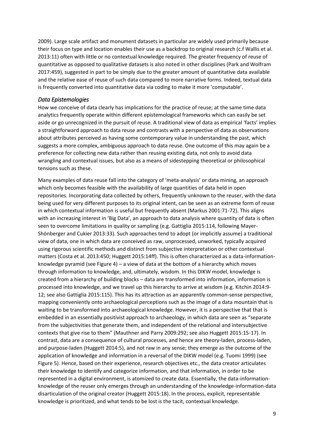2009). Large scale artifact and monument datasets in particular are widely used primarily because their focus on type and location enables their use as a backdrop to original research (c.f Wallis et al. 2013:11) often with little or no contextual knowledge required. The greater frequency of reuse of quantitative as opposed to qualitative datasets is also noted in other disciplines (Park and Wolfram 2017:459), suggested in part to be simply due to the greater amount of quantitative data available and the relative ease of reuse of such data compared to more narrative forms. Indeed, textual data is frequently converted into quantitative data via coding to make it more 'computable'.

### *Data Epistemologies*

How we conceive of data clearly has implications for the practice of reuse; at the same time data analytics frequently operate within different epistemological frameworks which can easily be set aside or go unrecognized in the pursuit of reuse. A traditional view of data as empirical 'facts' implies a straightforward approach to data reuse and contrasts with a perspective of data as observations about attributes perceived as having some contemporary value in understanding the past, which suggests a more complex, ambiguous approach to data reuse. One outcome of this may again be a preference for collecting new data rather than reusing existing data, not only to avoid data wrangling and contextual issues, but also as a means of sidestepping theoretical or philosophical tensions such as these.

Many examples of data reuse fall into the category of 'meta-analysis' or data mining, an approach which only becomes feasible with the availability of large quantities of data held in open repositories. Incorporating data collected by others, frequently unknown to the reuser, with the data being used for very different purposes to its original intent, can be seen as an extreme form of reuse in which contextual information is useful but frequently absent (Markus 2001:71-72). This aligns with an increasing interest in 'Big Data', an approach to data analysis where quantity of data is often seen to overcome limitations in quality or sampling (e.g. Gattiglia 2015:114, following Mayer-Shönberger and Cukier 2013:33). Such approaches tend to adopt (or implicitly assume) a traditional view of data, one in which data are conceived as raw, unprocessed, unworked, typically acquired using rigorous scientific methods and distinct from subjective interpretation or other contextual matters (Costa et al. 2013:450; Huggett 2015:14ff). This is often characterized as a data-informationknowledge pyramid (see Figure 4) – a view of data at the bottom of a hierarchy which moves through information to knowledge, and, ultimately, wisdom. In this DIKW model, knowledge is created from a hierarchy of building blocks – data are transformed into information, information is processed into knowledge, and we travel up this hierarchy to arrive at wisdom (e.g. Kitchin 2014:9- 12; see also Gattiglia 2015:115). This has its attraction as an apparently common-sense perspective, mapping conveniently onto archaeological perceptions such as the image of a data mountain that is waiting to be transformed into archaeological knowledge. However, it is a perspective that that is embedded in an essentially positivist approach to archaeology, in which data are seen as "separate from the subjectivities that generate them, and independent of the relational and intersubjective contexts that give rise to them" (Mauthner and Parry 2009:292; see also Huggett 2015:15-17). In contrast, data are a consequence of cultural processes, and hence are theory-laden, process-laden, and purpose-laden (Huggett 2014:5), and not raw in any sense; they emerge as the outcome of the application of knowledge and information in a reversal of the DIKW model (e.g. Tuomi 1999) (see Figure 5). Hence, based on their experience, research objectives etc., the data creator articulates their knowledge to identify and categorize information, and that information, in order to be represented in a digital environment, is atomized to create data. Essentially, the data-informationknowledge of the reuser only emerges through an understanding of the knowledge-information-data disarticulation of the original creator (Huggett 2015:18). In the process, explicit, representable knowledge is prioritized, and what tends to be lost is the tacit, contextual knowledge.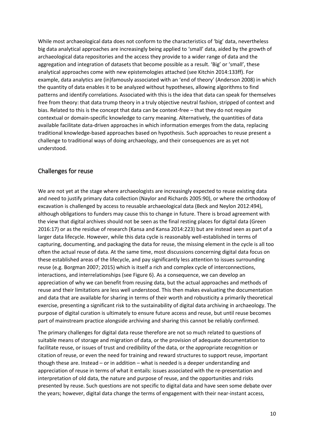While most archaeological data does not conform to the characteristics of 'big' data, nevertheless big data analytical approaches are increasingly being applied to 'small' data, aided by the growth of archaeological data repositories and the access they provide to a wider range of data and the aggregation and integration of datasets that become possible as a result. 'Big' or 'small', these analytical approaches come with new epistemologies attached (see Kitchin 2014:133ff). For example, data analytics are (in)famously associated with an 'end of theory' (Anderson 2008) in which the quantity of data enables it to be analyzed without hypotheses, allowing algorithms to find patterns and identify correlations. Associated with this is the idea that data can speak for themselves free from theory: that data trump theory in a truly objective neutral fashion, stripped of context and bias. Related to this is the concept that data can be context-free – that they do not require contextual or domain-specific knowledge to carry meaning. Alternatively, the quantities of data available facilitate data-driven approaches in which information emerges from the data, replacing traditional knowledge-based approaches based on hypothesis. Such approaches to reuse present a challenge to traditional ways of doing archaeology, and their consequences are as yet not understood.

# Challenges for reuse

We are not yet at the stage where archaeologists are increasingly expected to reuse existing data and need to justify primary data collection (Naylor and Richards 2005:90), or where the orthodoxy of excavation is challenged by access to reusable archaeological data (Beck and Neylon 2012:494), although obligations to funders may cause this to change in future. There is broad agreement with the view that digital archives should not be seen as the final resting places for digital data (Green 2016:17) or as the residue of research (Kansa and Kansa 2014:223) but are instead seen as part of a larger data lifecycle. However, while this data cycle is reasonably well-established in terms of capturing, documenting, and packaging the data for reuse, the missing element in the cycle is all too often the actual reuse of data. At the same time, most discussions concerning digital data focus on these established areas of the lifecycle, and pay significantly less attention to issues surrounding reuse (e.g. Borgman 2007; 2015) which is itself a rich and complex cycle of interconnections, interactions, and interrelationships (see Figure 6). As a consequence, we can develop an appreciation of why we can benefit from reusing data, but the actual approaches and methods of reuse and their limitations are less well understood. This then makes evaluating the documentation and data that are available for sharing in terms of their worth and robusticity a primarily theoretical exercise, presenting a significant risk to the sustainability of digital data archiving in archaeology. The purpose of digital curation is ultimately to ensure future access and reuse, but until reuse becomes part of mainstream practice alongside archiving and sharing this cannot be reliably confirmed.

The primary challenges for digital data reuse therefore are not so much related to questions of suitable means of storage and migration of data, or the provision of adequate documentation to facilitate reuse, or issues of trust and credibility of the data, or the appropriate recognition or citation of reuse, or even the need for training and reward structures to support reuse, important though these are. Instead – or in addition – what is needed is a deeper understanding and appreciation of reuse in terms of what it entails: issues associated with the re-presentation and interpretation of old data, the nature and purpose of reuse, and the opportunities and risks presented by reuse. Such questions are not specific to digital data and have seen some debate over the years; however, digital data change the terms of engagement with their near-instant access,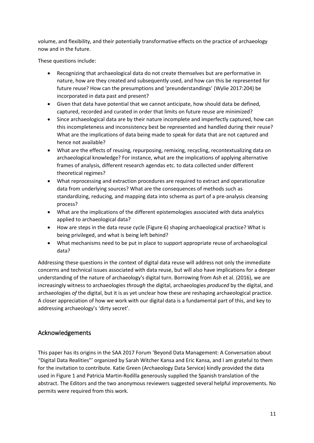volume, and flexibility, and their potentially transformative effects on the practice of archaeology now and in the future.

These questions include:

- Recognizing that archaeological data do not create themselves but are performative in nature, how are they created and subsequently used, and how can this be represented for future reuse? How can the presumptions and 'preunderstandings' (Wylie 2017:204) be incorporated in data past and present?
- Given that data have potential that we cannot anticipate, how should data be defined, captured, recorded and curated in order that limits on future reuse are minimized?
- Since archaeological data are by their nature incomplete and imperfectly captured, how can this incompleteness and inconsistency best be represented and handled during their reuse? What are the implications of data being made to speak for data that are not captured and hence not available?
- What are the effects of reusing, repurposing, remixing, recycling, recontextualizing data on archaeological knowledge? For instance, what are the implications of applying alternative frames of analysis, different research agendas etc. to data collected under different theoretical regimes?
- What reprocessing and extraction procedures are required to extract and operationalize data from underlying sources? What are the consequences of methods such as standardizing, reducing, and mapping data into schema as part of a pre-analysis cleansing process?
- What are the implications of the different epistemologies associated with data analytics applied to archaeological data?
- How are steps in the data reuse cycle (Figure 6) shaping archaeological practice? What is being privileged, and what is being left behind?
- What mechanisms need to be put in place to support appropriate reuse of archaeological data?

Addressing these questions in the context of digital data reuse will address not only the immediate concerns and technical issues associated with data reuse, but will also have implications for a deeper understanding of the nature of archaeology's digital turn. Borrowing from Ash et al. (2016), we are increasingly witness to archaeologies *through* the digital, archaeologies *produced* by the digital, and archaeologies *of* the digital, but it is as yet unclear how these are reshaping archaeological practice. A closer appreciation of how we work with our digital data is a fundamental part of this, and key to addressing archaeology's 'dirty secret'.

# Acknowledgements

This paper has its origins in the SAA 2017 Forum 'Beyond Data Management: A Conversation about "Digital Data Realities"' organized by Sarah Witcher Kansa and Eric Kansa, and I am grateful to them for the invitation to contribute. Katie Green (Archaeology Data Service) kindly provided the data used in Figure 1 and Patricia Martin-Rodilla generously supplied the Spanish translation of the abstract. The Editors and the two anonymous reviewers suggested several helpful improvements. No permits were required from this work.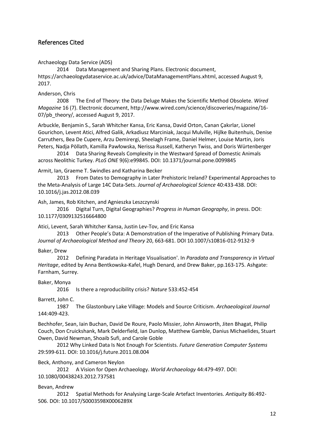# References Cited

Archaeology Data Service (ADS)

2014 Data Management and Sharing Plans. Electronic document, https://archaeologydataservice.ac.uk/advice/DataManagementPlans.xhtml, accessed August 9, 2017.

### Anderson, Chris

2008 The End of Theory: the Data Deluge Makes the Scientific Method Obsolete. *Wired Magazine* 16 (7). Electronic document, http://www.wired.com/science/discoveries/magazine/16- 07/pb theory/, accessed August 9, 2017.

Arbuckle, Benjamin S., Sarah Whitcher Kansa, Eric Kansa, David Orton, Canan Çakırlar, Lionel Gourichon, Levent Atici, Alfred Galik, Arkadiusz Marciniak, Jacqui Mulville, Hijlke Buitenhuis, Denise Carruthers, Bea De Cupere, Arzu Demirergi, Sheelagh Frame, Daniel Helmer, Louise Martin, Joris Peters, Nadja Pöllath, Kamilla Pawłowska, Nerissa Russell, Katheryn Twiss, and Doris Würtenberger

2014 Data Sharing Reveals Complexity in the Westward Spread of Domestic Animals across Neolithic Turkey. *PLoS ONE* 9(6):e99845. DOI: 10.1371/journal.pone.0099845

Armit, Ian, Graeme T. Swindles and Katharina Becker

2013 From Dates to Demography in Later Prehistoric Ireland? Experimental Approaches to the Meta-Analysis of Large 14C Data-Sets. *Journal of Archaeological Science* 40:433-438. DOI: 10.1016/j.jas.2012.08.039

Ash, James, Rob Kitchen, and Agnieszka Leszczynski

2016 Digital Turn, Digital Geographies? *Progress in Human Geography*, in press. DOI: 10.1177/0309132516664800

Atici, Levent, Sarah Whitcher Kansa, Justin Lev-Tov, and Eric Kansa

2013 Other People's Data: A Demonstration of the Imperative of Publishing Primary Data. *Journal of Archaeological Method and Theory* 20, 663-681. DOI 10.1007/s10816-012-9132-9

#### Baker, Drew

2012 Defining Paradata in Heritage Visualisation'. In *Paradata and Transparency in Virtual Heritage*, edited by Anna Bentkowska-Kafel, Hugh Denard, and Drew Baker, pp.163-175. Ashgate: Farnham, Surrey.

#### Baker, Monya

2016 Is there a reproducibility crisis? *Nature* 533:452-454

Barrett, John C.

1987 The Glastonbury Lake Village: Models and Source Criticism. *Archaeological Journal* 144:409-423.

Bechhofer, Sean, Iain Buchan, David De Roure, Paolo Missier, John Ainsworth, Jiten Bhagat, Philip Couch, Don Cruickshank, Mark Delderfield, Ian Dunlop, Matthew Gamble, Danius Michaelides, Stuart Owen, David Newman, Shoaib Sufi, and Carole Goble

2012 Why Linked Data Is Not Enough For Scientists. *Future Generation Computer Systems* 29:599-611. DOI: 10.1016/j.future.2011.08.004

Beck, Anthony, and Cameron Neylon

2012 A Vision for Open Archaeology. *World Archaeology* 44:479-497. DOI:

10.1080/00438243.2012.737581

Bevan, Andrew

2012 Spatial Methods for Analysing Large-Scale Artefact Inventories. *Antiquity* 86:492- 506. DOI: 10.1017/S0003598X0006289X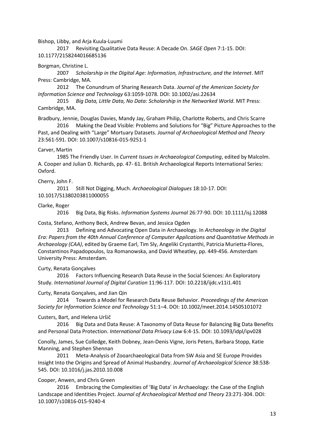#### Bishop, Libby, and Arja Kuula-Luumi

2017 Revisiting Qualitative Data Reuse: A Decade On. *SAGE Open* 7:1-15. DOI: 10.1177/2158244016685136

#### Borgman, Christine L.

2007 *Scholarship in the Digital Age: Information, Infrastructure, and the Internet*. MIT Press: Cambridge, MA.

2012 The Conundrum of Sharing Research Data. *Journal of the American Society for Information Science and Technology* 63:1059-1078. DOI: 10.1002/asi.22634

2015 *Big Data, Little Data, No Data: Scholarship in the Networked World*. MIT Press: Cambridge, MA.

Bradbury, Jennie, Douglas Davies, Mandy Jay, Graham Philip, Charlotte Roberts, and Chris Scarre 2016 Making the Dead Visible: Problems and Solutions for "Big" Picture Approaches to the

Past, and Dealing with "Large" Mortuary Datasets. *Journal of Archaeological Method and Theory* 23:561-591. DOI: 10.1007/s10816-015-9251-1

#### Carver, Martin

1985 The Friendly User. In *Current Issues in Archaeological Computing*, edited by Malcolm. A. Cooper and Julian D. Richards, pp. 47- 61. British Archaeological Reports International Series: Oxford.

#### Cherry, John F.

2011 Still Not Digging, Much. *Archaeological Dialogues* 18:10-17. DOI: 10.1017/S1380203811000055

#### Clarke, Roger

2016 Big Data, Big Risks. *Information Systems Journal* 26:77-90. DOI: 10.1111/isj.12088

#### Costa, Stefano, Anthony Beck, Andrew Bevan, and Jessica Ogden

2013 Defining and Advocating Open Data in Archaeology. In *Archaeology in the Digital Era: Papers from the 40th Annual Conference of Computer Applications and Quantitative Methods in Archaeology (CAA)*, edited by Graeme Earl, Tim Sly, Angeliki Crystanthi, Patricia Murietta-Flores, Constantinos Papadopoulos, Iza Romanowska, and David Wheatley, pp. 449-456. Amsterdam University Press: Amsterdam.

#### Curty, Renata Gonçalves

2016 Factors Influencing Research Data Reuse in the Social Sciences: An Exploratory Study. *International Journal of Digital Curation* 11:96-117. DOI: 10.2218/ijdc.v11i1.401

#### Curty, Renata Gonçalves, and Jian Qin

2014 Towards a Model for Research Data Reuse Behavior. *Proceedings of the American Society for Information Science and Technology* 51:1–4. DOI: 10.1002/meet.2014.14505101072

#### Custers, Bart, and Helena Uršič

2016 Big Data and Data Reuse: A Taxonomy of Data Reuse for Balancing Big Data Benefits and Personal Data Protection. *International Data Privacy Law* 6:4-15. DOI: 10.1093/idpl/ipv028

Conolly, James, Sue Colledge, Keith Dobney, Jean-Denis Vigne, Joris Peters, Barbara Stopp, Katie Manning, and Stephen Shennan

2011 Meta-Analysis of Zooarchaeological Data from SW Asia and SE Europe Provides Insight Into the Origins and Spread of Animal Husbandry. *Journal of Archaeological Science* 38:538- 545. DOI: 10.1016/j.jas.2010.10.008

#### Cooper, Anwen, and Chris Green

2016 Embracing the Complexities of 'Big Data' in Archaeology: the Case of the English Landscape and Identities Project. *Journal of Archaeological Method and Theory* 23:271-304. DOI: 10.1007/s10816-015-9240-4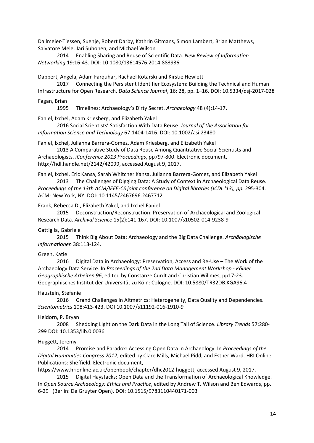Dallmeier-Tiessen, Suenje, Robert Darby, Kathrin Gitmans, Simon Lambert, Brian Matthews, Salvatore Mele, Jari Suhonen, and Michael Wilson

2014 Enabling Sharing and Reuse of Scientific Data. *New Review of Information Networking* 19:16-43. DOI: 10.1080/13614576.2014.883936

Dappert, Angela, Adam Farquhar, Rachael Kotarski and Kirstie Hewlett

2017 Connecting the Persistent Identifier Ecosystem: Building the Technical and Human Infrastructure for Open Research. *Data Science Journal*, 16: 28, pp. 1–16. DOI: 10.5334/dsj-2017-028

Fagan, Brian

1995 Timelines: Archaeology's Dirty Secret. *Archaeology* 48 (4):14-17.

Faniel, Ixchel, Adam Kriesberg, and Elizabeth Yakel

2016 Social Scientists' Satisfaction With Data Reuse. *Journal of the Association for Information Science and Technology* 67:1404-1416. DOI: 10.1002/asi.23480

Faniel, lxchel, Julianna Barrera-Gomez, Adam Kriesberg, and Elizabeth Yakel

2013 A Comparative Study of Data Reuse Among Quantitative Social Scientists and Archaeologists. *iConference 2013 Proceedings*, pp797-800. Electronic document, http://hdl.handle.net/2142/42099, accessed August 9, 2017.

Faniel, Ixchel, Eric Kansa, Sarah Whitcher Kansa, Julianna Barrera-Gomez, and Elizabeth Yakel 2013 The Challenges of Digging Data: A Study of Context in Archaeological Data Reuse.

*Proceedings of the 13th ACM/IEEE-CS joint conference on Digital libraries (JCDL '13), pp.* 295-304. ACM: New York, NY. DOI: 10.1145/2467696.2467712

Frank, Rebecca D., Elizabeth Yakel, and Ixchel Faniel

2015 Deconstruction/Reconstruction: Preservation of Archaeological and Zoological Research Data. *Archival Science* 15(2):141-167. DOI: 10.1007/s10502-014-9238-9

#### Gattiglia, Gabriele

2015 Think Big About Data: Archaeology and the Big Data Challenge. *Archäologische Informationen* 38:113-124.

#### Green, Katie

2016 Digital Data in Archaeology: Preservation, Access and Re-Use – The Work of the Archaeology Data Service. In *Proceedings of the 2nd Data Management Workshop - Kölner Geographische Arbeiten 96*, edited by Constanze Curdt and Christian Willmes, pp17-23. Geographisches Institut der Universität zu Köln: Cologne. DOI: 10.5880/TR32DB.KGA96.4

#### Haustein, Stefanie

2016 Grand Challenges in Altmetrics: Heterogeneity, Data Quality and Dependencies. *Scientometrics* 108:413-423. DOI 10.1007/s11192-016-1910-9

#### Heidorn, P. Bryan

2008 Shedding Light on the Dark Data in the Long Tail of Science. *Library Trends* 57:280- 299 DOI: 10.1353/lib.0.0036

#### Huggett, Jeremy

2014 Promise and Paradox: Accessing Open Data in Archaeology. In *Proceedings of the Digital Humanities Congress 2012*, edited by Clare Mills, Michael Pidd, and Esther Ward. HRI Online Publications: Sheffield. Electronic document,

https://www.hrionline.ac.uk/openbook/chapter/dhc2012-huggett, accessed August 9, 2017.

2015 Digital Haystacks: Open Data and the Transformation of Archaeological Knowledge. In *Open Source Archaeology: Ethics and Practice*, edited by Andrew T. Wilson and Ben Edwards, pp. 6-29 (Berlin: De Gruyter Open). DOI: 10.1515/9783110440171-003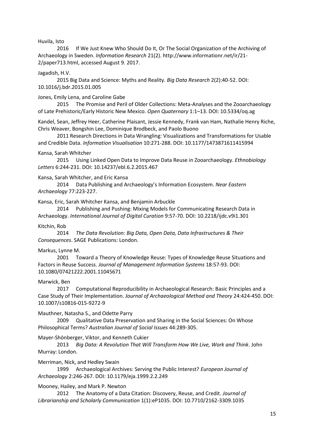#### Huvila, Isto

2016 If We Just Knew Who Should Do It, Or The Social Organization of the Archiving of Archaeology in Sweden. *Information Research* 21(2). http://www.informationr.net/ir/21- 2/paper713.html, accessed August 9. 2017.

#### Jagadish, H.V.

2015 Big Data and Science: Myths and Reality. *Big Data Research* 2(2):40-52. DOI: 10.1016/j.bdr.2015.01.005

#### Jones, Emily Lena, and Caroline Gabe

2015 The Promise and Peril of Older Collections: Meta-Analyses and the Zooarchaeology of Late Prehistoric/Early Historic New Mexico. *Open Quaternary* 1:1–13. DOI: 10.5334/oq.ag

Kandel, Sean, Jeffrey Heer, Catherine Plaisant, Jessie Kennedy, Frank van Ham, Nathalie Henry Riche, Chris Weaver, Bongshin Lee, Dominique Brodbeck, and Paolo Buono

2011 Research Directions in Data Wrangling: Visualizations and Transformations for Usable and Credible Data. *Information Visualisation* 10:271-288. DOI: 10.1177/1473871611415994

### Kansa, Sarah Whitcher

2015 Using Linked Open Data to Improve Data Reuse in Zooarchaeology. *Ethnobiology Letters* 6:244-231. DOI: 10.14237/ebl.6.2.2015.467

### Kansa, Sarah Whitcher, and Eric Kansa

2014 Data Publishing and Archaeology's Information Ecosystem. *Near Eastern Archaeology* 77:223-227.

Kansa, Eric, Sarah Whitcher Kansa, and Benjamin Arbuckle

2014 Publishing and Pushing: Mixing Models for Communicating Research Data in Archaeology. *International Journal of Digital Curation* 9:57-70. DOI: 10.2218/ijdc.v9i1.301

#### Kitchin, Rob

2014 *The Data Revolution: Big Data, Open Data, Data Infrastructures & Their Consequences*. SAGE Publications: London.

### Markus, Lynne M.

2001 Toward a Theory of Knowledge Reuse: Types of Knowledge Reuse Situations and Factors in Reuse Success. *Journal of Management Information Systems* 18:57-93. DOI: 10.1080/07421222.2001.11045671

#### Marwick, Ben

2017 Computational Reproducibility in Archaeological Research: Basic Principles and a Case Study of Their Implementation. *Journal of Archaeological Method and Theory* 24:424-450. DOI: 10.1007/s10816-015-9272-9

#### Mauthner, Natasha S., and Odette Parry

2009 Qualitative Data Preservation and Sharing in the Social Sciences: On Whose Philosophical Terms? *Australian Journal of Social Issues* 44:289-305.

#### Mayer-Shönberger, Viktor, and Kenneth Cukier

2013 *Big Data: A Revolution That Will Transform How We Live, Work and Think*. John Murray: London.

#### Merriman, Nick, and Hedley Swain

1999 Archaeological Archives: Serving the Public Interest? *European Journal of Archaeology* 2:246-267. DOI: 10.1179/eja.1999.2.2.249

### Mooney, Hailey, and Mark P. Newton

2012 The Anatomy of a Data Citation: Discovery, Reuse, and Credit. *Journal of Librarianship and Scholarly Communication* 1(1):eP1035. DOI: 10.7710/2162-3309.1035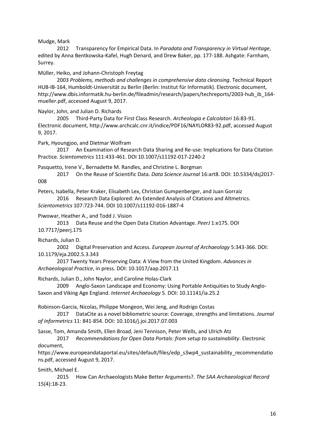### Mudge, Mark

2012 Transparency for Empirical Data. In *Paradata and Transparency in Virtual Heritage*, edited by Anna Bentkowska-Kafel, Hugh Denard, and Drew Baker, pp. 177-188. Ashgate: Farnham, Surrey.

### Müller, Heiko, and Johann-Christoph Freytag

2003 *Problems, methods and challenges in comprehensive data cleansing*. Technical Report HUB-IB-164, Humboldt-Universität zu Berlin (Berlin: Institut für Informatik). Electronic document, http://www.dbis.informatik.hu-berlin.de/fileadmin/research/papers/techreports/2003-hub\_ib\_164 mueller.pdf, accessed August 9, 2017.

Naylor, John, and Julian D. Richards

2005 Third-Party Data for First Class Research. *Archeologia e Calcolatori* 16:83-91. Electronic document, http://www.archcalc.cnr.it/indice/PDF16/NAYLOR83-92.pdf, accessed August 9, 2017.

Park, Hyoungjoo, and Dietmar Wolfram

2017 An Examination of Research Data Sharing and Re-use: Implications for Data Citation Practice. *Scientometrics* 111:433-461. DOI 10.1007/s11192-017-2240-2

Pasquetto, Irene V., Bernadette M. Randles, and Christine L. Borgman

2017 On the Reuse of Scientific Data. *Data Science Journal* 16:art8. DOI: 10.5334/dsj2017- 008

Peters, Isabella, Peter Kraker, Elisabeth Lex, Christian Gumpenberger, and Juan Gorraiz

2016 Research Data Explored: An Extended Analysis of Citations and Altmetrics. *Scientometrics* 107:723-744. DOI 10.1007/s11192-016-1887-4

Piwowar, Heather A., and Todd J. Vision

2013 Data Reuse and the Open Data Citation Advantage. *PeerJ* 1:e175. DOI 10.7717/peerj.175

Richards, Julian D.

2002 Digital Preservation and Access. *European Journal of Archaeology* 5:343-366. DOI: 10.1179/eja.2002.5.3.343

2017 Twenty Years Preserving Data: A View from the United Kingdom. *Advances in Archaeological Practice*, in press. DOI: 10.1017/aap.2017.11

Richards, Julian D., John Naylor, and Caroline Holas-Clark

2009 Anglo-Saxon Landscape and Economy: Using Portable Antiquities to Study Anglo-Saxon and Viking Age England. *Internet Archaeology* 5. DOI: 10.11141/ia.25.2

Robinson-Garcia, Nicolas, Philippe Mongeon, Wei Jeng, and Rodrigo Costas

2017 DataCite as a novel bibliometric source: Coverage, strengths and limitations. *Journal of Informetrics* 11: 841-854. DOI: 10.1016/j.joi.2017.07.003

Sasse, Tom, Amanda Smith, Ellen Broad, Jeni Tennison, Peter Wells, and Ulrich Atz

2017 *Recommendations for Open Data Portals: from setup to sustainability*. Electronic document,

https://www.europeandataportal.eu/sites/default/files/edp\_s3wp4\_sustainability\_recommendatio ns.pdf, accessed August 9, 2017.

Smith, Michael E.

2015 How Can Archaeologists Make Better Arguments?. *The SAA Archaeological Record* 15(4):18-23.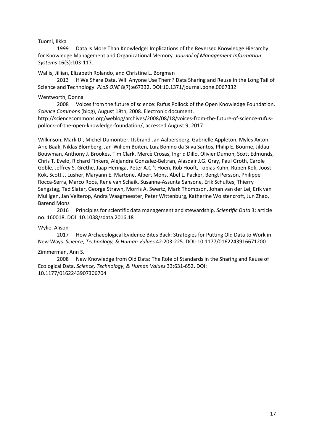### Tuomi, Ilkka

1999 Data Is More Than Knowledge: Implications of the Reversed Knowledge Hierarchy for Knowledge Management and Organizational Memory. *Journal of Management Information Systems* 16(3):103-117.

Wallis, Jillian, Elizabeth Rolando, and Christine L. Borgman

2013 If We Share Data, Will Anyone Use Them? Data Sharing and Reuse in the Long Tail of Science and Technology. *PLoS ONE* 8(7):e67332. DOI:10.1371/journal.pone.0067332

### Wentworth, Donna

2008 Voices from the future of science: Rufus Pollock of the Open Knowledge Foundation. *Science Commons* (blog), August 18th, 2008. Electronic document,

http://sciencecommons.org/weblog/archives/2008/08/18/voices-from-the-future-of-science-rufuspollock-of-the-open-knowledge-foundation/, accessed August 9, 2017.

Wilkinson, Mark D., Michel Dumontier, IJsbrand Jan Aalbersberg, Gabrielle Appleton, Myles Axton, Arie Baak, Niklas Blomberg, Jan-Willem Boiten, Luiz Bonino da Silva Santos, Philip E. Bourne, Jildau Bouwman, Anthony J. Brookes, Tim Clark, Mercè Crosas, Ingrid Dillo, Olivier Dumon, Scott Edmunds, Chris T. Evelo, Richard Finkers, Alejandra Gonzalez-Beltran, Alasdair J.G. Gray, Paul Groth, Carole Goble, Jeffrey S. Grethe, Jaap Heringa, Peter A.C 't Hoen, Rob Hooft, Tobias Kuhn, Ruben Kok, Joost Kok, Scott J. Lusher, Maryann E. Martone, Albert Mons, Abel L. Packer, Bengt Persson, Philippe Rocca-Serra, Marco Roos, Rene van Schaik, Susanna-Assunta Sansone, Erik Schultes, Thierry Sengstag, Ted Slater, George Strawn, Morris A. Swertz, Mark Thompson, Johan van der Lei, Erik van Mulligen, Jan Velterop, Andra Waagmeester, Peter Wittenburg, Katherine Wolstencroft, Jun Zhao, Barend Mons

2016 Principles for scientific data management and stewardship. *Scientific Data* 3: article no. 160018. DOI: 10.1038/sdata.2016.18

### Wylie, Alison

2017 How Archaeological Evidence Bites Back: Strategies for Putting Old Data to Work in New Ways. *Science, Technology, & Human Values* 42:203-225. DOI: 10.1177/0162243916671200

### Zimmerman, Ann S.

2008 New Knowledge from Old Data: The Role of Standards in the Sharing and Reuse of Ecological Data. *Science, Technology, & Human Values* 33:631-652. DOI: 10.1177/0162243907306704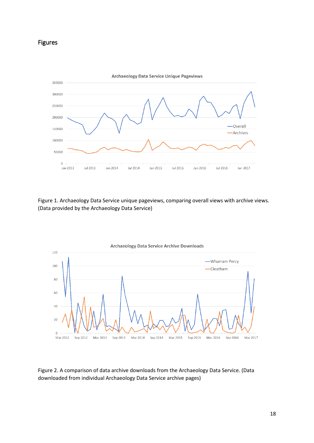# Figures



Figure 1. Archaeology Data Service unique pageviews, comparing overall views with archive views. (Data provided by the Archaeology Data Service)



Figure 2. A comparison of data archive downloads from the Archaeology Data Service. (Data downloaded from individual Archaeology Data Service archive pages)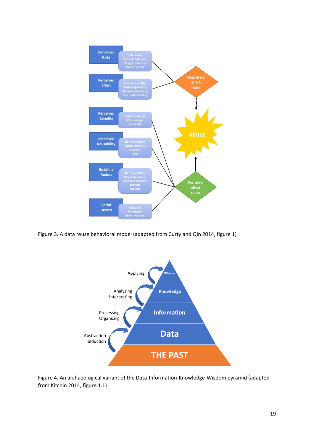

Figure 3. A data reuse behavioral model (adapted from Curty and Qin 2014, figure 1)



Figure 4. An archaeological variant of the Data-Information-Knowledge-Wisdom pyramid (adapted from Kitchin 2014, figure 1.1)